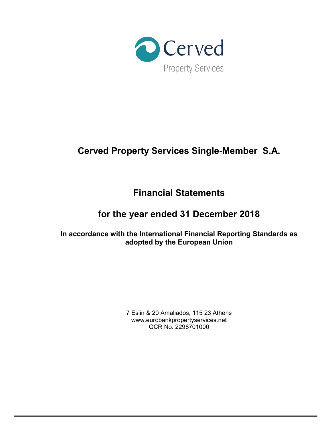

# Cerved Property Services Single-Member S.A.

Financial Statements

# for the year ended 31 December 2018

In accordance with the International Financial Reporting Standards as adopted by the European Union

> 7 Eslin & 20 Amaliados, 115 23 Athens www.eurobankpropertyservices.net GCR No. 2296701000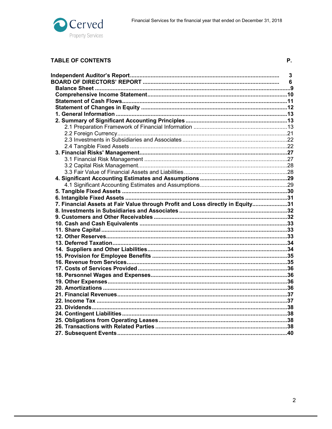

## **TABLE OF CONTENTS**

|                                                                                | $\mathbf{3}$ |
|--------------------------------------------------------------------------------|--------------|
|                                                                                | 6            |
|                                                                                |              |
|                                                                                |              |
|                                                                                |              |
|                                                                                |              |
|                                                                                |              |
|                                                                                |              |
|                                                                                |              |
|                                                                                |              |
|                                                                                |              |
|                                                                                |              |
|                                                                                |              |
|                                                                                |              |
|                                                                                |              |
|                                                                                |              |
|                                                                                |              |
|                                                                                |              |
|                                                                                |              |
| 7. Financial Assets at Fair Value through Profit and Loss directly in Equity31 |              |
|                                                                                |              |
|                                                                                |              |
|                                                                                |              |
|                                                                                |              |
|                                                                                |              |
|                                                                                |              |
|                                                                                |              |
|                                                                                |              |
|                                                                                |              |
|                                                                                |              |
|                                                                                |              |
|                                                                                |              |
|                                                                                |              |
|                                                                                |              |
|                                                                                |              |
|                                                                                |              |
|                                                                                |              |
|                                                                                |              |
|                                                                                |              |
|                                                                                |              |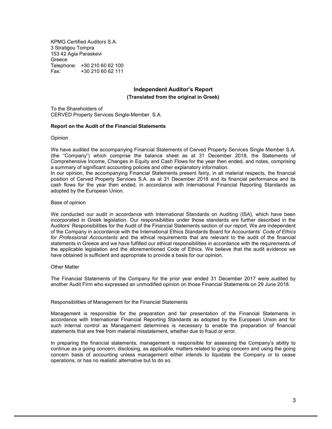KPMG Certified Auditors S.A. 3 Stratigou Tompra 153 42 Agia Paraskevi **Greece** Telephone: +30 210 60 62 100 Fax: +30 210 60 62 111

## Independent Auditor's Report (Translated from the original in Greek)

To the Shareholders of CERVED Property Services Single-Member S.A.

#### Report on the Audit of the Financial Statements

Opinion

We have audited the accompanying Financial Statements of Cerved Property Services Single Member S.A. (the "Company") which comprise the balance sheet as at 31 December 2018, the Statements of Comprehensive Income, Changes in Equity and Cash Flows for the year then ended, and notes, comprising a summary of significant accounting policies and other explanatory information.

In our opinion, the accompanying Financial Statements present fairly, in all material respects, the financial position of Cerved Property Services S.A. as at 31 December 2018 and its financial performance and its cash flows for the year then ended, in accordance with International Financial Reporting Standards as adopted by the European Union.

Base of opinion

We conducted our audit in accordance with International Standards on Auditing (ISA), which have been incorporated in Greek legislation. Our responsibilities under those standards are further described in the Auditors' Responsibilities for the Audit of the Financial Statements section of our report. We are independent of the Company in accordance with the International Ethics Standards Board for Accountants' Code of Ethics for Professional Accountants and the ethical requirements that are relevant to the audit of the financial statements in Greece and we have fulfilled our ethical responsibilities in accordance with the requirements of the applicable legislation and the aforementioned Code of Ethics. We believe that the audit evidence we have obtained is sufficient and appropriate to provide a basis for our opinion.

#### Other Matter

The Financial Statements of the Company for the prior year ended 31 December 2017 were audited by another Audit Firm who expressed an unmodified opinion on those Financial Statements on 29 June 2018.

#### Responsibilities of Management for the Financial Statements

Management is responsible for the preparation and fair presentation of the Financial Statements in accordance with International Financial Reporting Standards as adopted by the European Union and for such internal control as Management determines is necessary to enable the preparation of financial statements that are free from material misstatement, whether due to fraud or error.

In preparing the financial statements, management is responsible for assessing the Company's ability to continue as a going concern, disclosing, as applicable, matters related to going concern and using the going concern basis of accounting unless management either intends to liquidate the Company or to cease operations, or has no realistic alternative but to do so.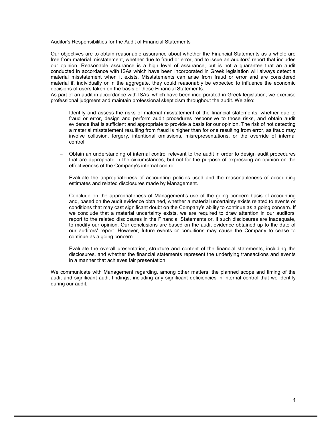#### Auditor's Responsibilities for the Audit of Financial Statements

Our objectives are to obtain reasonable assurance about whether the Financial Statements as a whole are free from material misstatement, whether due to fraud or error, and to issue an auditors' report that includes our opinion. Reasonable assurance is a high level of assurance, but is not a guarantee that an audit conducted in accordance with ISAs which have been incorporated in Greek legislation will always detect a material misstatement when it exists. Misstatements can arise from fraud or error and are considered material if, individually or in the aggregate, they could reasonably be expected to influence the economic decisions of users taken on the basis of these Financial Statements.

As part of an audit in accordance with ISAs, which have been incorporated in Greek legislation, we exercise professional judgment and maintain professional skepticism throughout the audit. We also:

- Identify and assess the risks of material misstatement of the financial statements, whether due to fraud or error, design and perform audit procedures responsive to those risks, and obtain audit evidence that is sufficient and appropriate to provide a basis for our opinion. The risk of not detecting a material misstatement resulting from fraud is higher than for one resulting from error, as fraud may involve collusion, forgery, intentional omissions, misrepresentations, or the override of internal control.
- Obtain an understanding of internal control relevant to the audit in order to design audit procedures that are appropriate in the circumstances, but not for the purpose of expressing an opinion on the effectiveness of the Company's internal control.
- Evaluate the appropriateness of accounting policies used and the reasonableness of accounting estimates and related disclosures made by Management.
- Conclude on the appropriateness of Management's use of the going concern basis of accounting and, based on the audit evidence obtained, whether a material uncertainty exists related to events or conditions that may cast significant doubt on the Company's ability to continue as a going concern. If we conclude that a material uncertainty exists, we are required to draw attention in our auditors' report to the related disclosures in the Financial Statements or, if such disclosures are inadequate, to modify our opinion. Our conclusions are based on the audit evidence obtained up to the date of our auditors' report. However, future events or conditions may cause the Company to cease to continue as a going concern.
- Evaluate the overall presentation, structure and content of the financial statements, including the disclosures, and whether the financial statements represent the underlying transactions and events in a manner that achieves fair presentation.

We communicate with Management regarding, among other matters, the planned scope and timing of the audit and significant audit findings, including any significant deficiencies in internal control that we identify during our audit.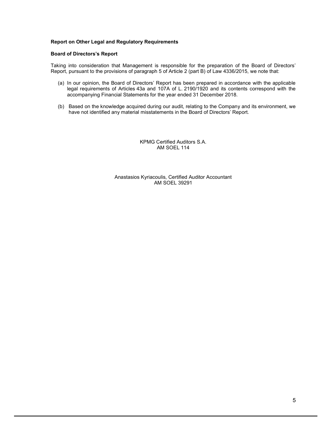## Report on Other Legal and Regulatory Requirements

## Board of Directors's Report

Taking into consideration that Management is responsible for the preparation of the Board of Directors' Report, pursuant to the provisions of paragraph 5 of Article 2 (part B) of Law 4336/2015, we note that:

- (a) In our opinion, the Board of Directors' Report has been prepared in accordance with the applicable legal requirements of Articles 43a and 107A of L. 2190/1920 and its contents correspond with the accompanying Financial Statements for the year ended 31 December 2018.
- (b) Based on the knowledge acquired during our audit, relating to the Company and its environment, we have not identified any material misstatements in the Board of Directors' Report.

KPMG Certified Auditors S.A. AM SOEL 114

Anastasios Kyriacoulis, Certified Auditor Accountant AM SOEL 39291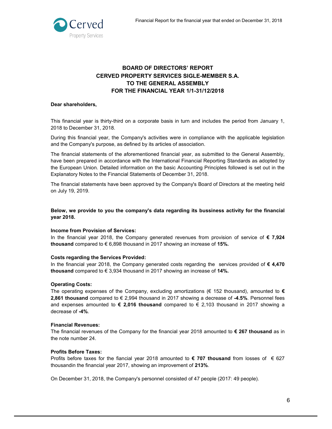

## BOARD OF DIRECTORS' REPORT CERVED PROPERTY SERVICES SIGLE-MEMBER S.A. TO THE GENERAL ASSEMBLY FOR THE FINANCIAL YEAR 1/1-31/12/2018

#### Dear shareholders,

This financial year is thirty-third on a corporate basis in turn and includes the period from January 1, 2018 to December 31, 2018.

During this financial year, the Company's activities were in compliance with the applicable legislation and the Company's purpose, as defined by its articles of association.

The financial statements of the aforementioned financial year, as submitted to the General Assembly, have been prepared in accordance with the International Financial Reporting Standards as adopted by the European Union. Detailed information on the basic Accounting Principles followed is set out in the Explanatory Notes to the Financial Statements of December 31, 2018.

The financial statements have been approved by the Company's Board of Directors at the meeting held on July 19, 2019.

Below, we provide to you the company's data regarding its bussiness activity for the financial year 2018.

#### Income from Provision of Services:

In the financial year 2018, the Company generated revenues from provision of service of € 7,924 thousand compared to  $\epsilon$  6,898 thousand in 2017 showing an increase of 15%.

#### Costs regarding the Services Provided:

In the financial year 2018, the Company generated costs regarding the services provided of  $\epsilon$  4,470 thousand compared to € 3,934 thousand in 2017 showing an increase of 14%.

#### Operating Costs:

The operating expenses of the Company, excluding amortizations ( $\epsilon$  152 thousand), amounted to  $\epsilon$ 2,861 thousand compared to  $\epsilon$  2,994 thousand in 2017 showing a decrease of -4.5%. Personnel fees and expenses amounted to  $\epsilon$  2,016 thousand compared to  $\epsilon$  2,103 thousand in 2017 showing a decrease of -4%.

#### Financial Revenues:

The financial revenues of the Company for the financial year 2018 amounted to  $\epsilon$  267 thousand as in the note number 24.

#### Profits Before Taxes:

Profits before taxes for the fiancial year 2018 amounted to  $\epsilon$  707 thousand from losses of  $\epsilon$  627 thousandin the financial year 2017, showing an improvement of 213%.

On December 31, 2018, the Company's personnel consisted of 47 people (2017: 49 people).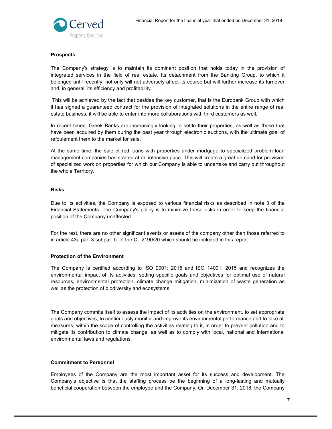

#### **Prospects**

The Company's strategy is to maintain its dominant position that holds today in the provision of integrated services in the field of real estate. Its detachment from the Banking Group, to which it belonged until recently, not only will not adversely affect its course but will further increase its turnover and, in general, its efficiency and profitability.

 This will be achieved by the fact that besides the key customer, that is the Eurobank Group with which it has signed a guaranteed contract for the provision of integrated solutions in the entire range of real estate business, it will be able to enter into more collaborations with third customers as well.

In recent times, Greek Banks are increasingly looking to settle their properties, as well as those that have been acquired by them during the past year through electronic auctions, with the ultimate goal of refoulement them to the market for sale.

At the same time, the sale of red loans with properties under mortgage to specialized problem loan management companies has started at an intensive pace. This will create a great demand for provision of specialized work on properties for which our Company is able to undertake and carry out throughout the whole Territory.

#### Risks

Due to its activities, the Company is exposed to various financial risks as described in note 3 of the Financial Statements. The Company's policy is to minimize these risks in order to keep the financial position of the Company unaffected.

For the rest, there are no other significant events or assets of the company other than those referred to in article 43a par. 3 subpar. b. of the CL 2190/20 which should be included in this report.

#### Protection of the Environment

The Company is certified according to ISO 9001: 2015 and ISO 14001: 2015 and recognizes the environmental impact of its activities, setting specific goals and objectives for optimal use of natural resources, environmental protection, climate change mitigation, minimization of waste generation as well as the protection of biodiversity and ecosystems.

The Company commits itself to assess the impact of its activities on the environment, to set appropriate goals and objectives, to continuously monitor and improve its environmental performance and to take all measures, within the scope of controlling the activities relating to it, in order to prevent pollution and to mitigate its contribution to climate change, as well as to comply with local, national and international environmental laws and regulations.

#### Commitment to Personnel

Employees of the Company are the most important asset for its success and development. The Company's objective is that the staffing process be the beginning of a long-lasting and mutually beneficial cooperation between the employee and the Company. On December 31, 2018, the Company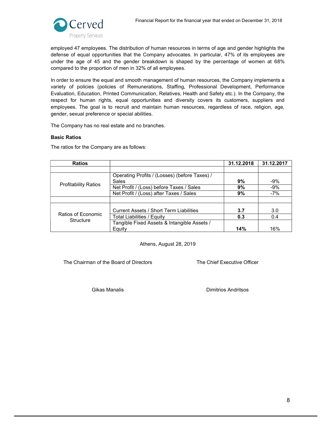

employed 47 employees. The distribution of human resources in terms of age and gender highlights the defense of equal opportunities that the Company advocates. In particular, 47% of its employees are under the age of 45 and the gender breakdown is shaped by the percentage of women at 68% compared to the proportion of men in 32% of all employees.

In order to ensure the equal and smooth management of human resources, the Company implements a variety of policies (policies of Remunerations, Staffing, Professional Development, Performance Evaluation, Education, Printed Communication, Relatives, Health and Safety etc.). In the Company, the respect for human rights, equal opportunities and diversity covers its customers, suppliers and employees. The goal is to recruit and maintain human resources, regardless of race, religion, age, gender, sexual preference or special abilities.

The Company has no real estate and no branches.

#### Basic Ratios

The ratios for the Company are as follows:

| <b>Ratios</b>               |                                                | 31.12.2018 | 31.12.2017 |
|-----------------------------|------------------------------------------------|------------|------------|
|                             |                                                |            |            |
|                             | Operating Profits / (Losses) (before Taxes) /  |            |            |
|                             | <b>Sales</b>                                   | 9%         | $-9%$      |
| <b>Profitability Ratios</b> | Net Profit / (Loss) before Taxes / Sales       | 9%         | $-9%$      |
|                             | Net Profit / (Loss) after Taxes / Sales        | 9%         | $-7%$      |
|                             |                                                |            |            |
|                             |                                                |            |            |
| Ratios of Economic          | <b>Current Assets / Short Term Liabilities</b> | 3.7        | 3.0        |
| Structure                   | Total Liabilities / Equity                     | 0.3        | 0.4        |
|                             | Tangible Fixed Assets & Intangible Assets /    |            |            |
|                             | Equity                                         | 14%        | 16%        |

Athens, August 28, 2019

The Chairman of the Board of Directors

The Chief Executive Officer

Gikas Manalis

Dimitrios Andritsos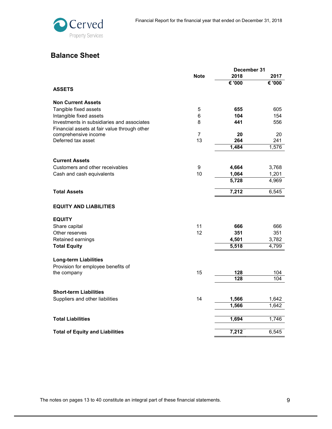

## Balance Sheet

|                                              |                      | December 31 |           |
|----------------------------------------------|----------------------|-------------|-----------|
|                                              | <b>Note</b>          | 2018        | 2017      |
|                                              |                      | € '000      | € '000    |
| <b>ASSETS</b>                                |                      |             |           |
| <b>Non Current Assets</b>                    |                      |             |           |
| Tangible fixed assets                        | 5                    | 655         | 605       |
| Intangible fixed assets                      | 6                    | 104         | 154       |
| Investments in subsidiaries and associates   | 8                    | 441         | 556       |
| Financial assets at fair value through other |                      |             |           |
| comprehensive income<br>Deferred tax asset   | $\overline{7}$<br>13 | 20<br>264   | 20<br>241 |
|                                              |                      | 1,484       | 1,576     |
|                                              |                      |             |           |
| <b>Current Assets</b>                        |                      |             |           |
| Customers and other receivables              | 9                    | 4,664       | 3,768     |
| Cash and cash equivalents                    | 10                   | 1,064       | 1,201     |
|                                              |                      | 5,728       | 4,969     |
| <b>Total Assets</b>                          |                      | 7,212       | 6,545     |
| <b>EQUITY AND LIABILITIES</b>                |                      |             |           |
| <b>EQUITY</b>                                |                      |             |           |
| Share capital                                | 11                   | 666         | 666       |
| Other reserves                               | 12                   | 351         | 351       |
| Retained earnings                            |                      | 4,501       | 3,782     |
| <b>Total Equity</b>                          |                      | 5,518       | 4,799     |
| <b>Long-term Liabilities</b>                 |                      |             |           |
| Provision for employee benefits of           |                      |             |           |
| the company                                  | 15                   | 128         | 104       |
|                                              |                      | 128         | 104       |
| <b>Short-term Liabilities</b>                |                      |             |           |
| Suppliers and other liabilities              | 14                   | 1,566       | 1,642     |
|                                              |                      | 1,566       | 1,642     |
| <b>Total Liabilities</b>                     |                      | 1,694       | 1,746     |
| <b>Total of Equity and Liabilities</b>       |                      | 7,212       | 6,545     |

The notes on pages 13 to 40 constitute an integral part of these financial statements. 9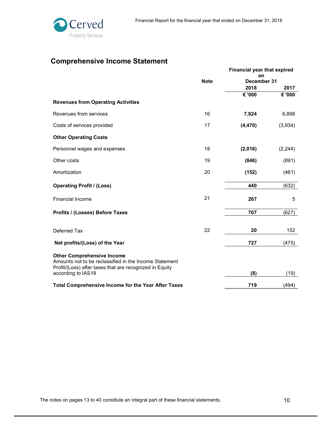

## Comprehensive Income Statement

|                                                                                                                                                        |             |             | <b>Financial year that expired</b><br>on |  |  |
|--------------------------------------------------------------------------------------------------------------------------------------------------------|-------------|-------------|------------------------------------------|--|--|
|                                                                                                                                                        | <b>Note</b> | December 31 |                                          |  |  |
|                                                                                                                                                        |             | 2018        | 2017                                     |  |  |
|                                                                                                                                                        |             | € '000      | € '000                                   |  |  |
| <b>Revenues from Operating Activities</b>                                                                                                              |             |             |                                          |  |  |
| Revenues from services                                                                                                                                 | 16          | 7,924       | 6,898                                    |  |  |
| Costs of services provided                                                                                                                             | 17          | (4, 470)    | (3,934)                                  |  |  |
| <b>Other Operating Costs</b>                                                                                                                           |             |             |                                          |  |  |
| Personnel wages and expenses                                                                                                                           | 18          | (2,016)     | (2, 244)                                 |  |  |
| Other costs                                                                                                                                            | 19          | (846)       | (891)                                    |  |  |
| Amortization                                                                                                                                           | 20          | (152)       | (461)                                    |  |  |
| <b>Operating Profit / (Loss)</b>                                                                                                                       |             | 440         | (632)                                    |  |  |
| <b>Financial Income</b>                                                                                                                                | 21          | 267         | 5                                        |  |  |
| Profits / (Losses) Before Taxes                                                                                                                        |             | 707         | (627)                                    |  |  |
| Deferred Tax                                                                                                                                           | 22          | 20          | 152                                      |  |  |
| Net profits/(Loss) of the Year                                                                                                                         |             | 727         | (475)                                    |  |  |
| <b>Other Comprehensive Income</b><br>Amounts not to be reclassified in the Income Statement<br>Profit/(Loss) after taxes that are recognized in Equity |             |             |                                          |  |  |
| according to IAS19                                                                                                                                     |             | (8)         | (19)                                     |  |  |
| <b>Total Comprehensive Income for the Year After Taxes</b>                                                                                             |             | 719         | (494)                                    |  |  |

The notes on pages 13 to 40 constitute an integral part of these financial statements. 10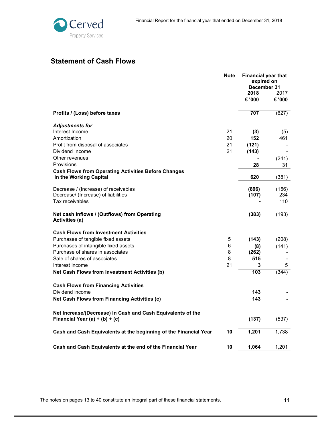

## Statement of Cash Flows

|                                                                  | <b>Note</b> | <b>Financial year that</b><br>expired on<br>December 31 |        |
|------------------------------------------------------------------|-------------|---------------------------------------------------------|--------|
|                                                                  |             | 2018                                                    | 2017   |
|                                                                  |             | € '000                                                  | € '000 |
| Profits / (Loss) before taxes                                    |             | 707                                                     | (627)  |
| <b>Adjustments for:</b>                                          |             |                                                         |        |
| Interest Income                                                  | 21          | (3)                                                     | (5)    |
| Amortization                                                     | 20          | 152                                                     | 461    |
| Profit from disposal of associates                               | 21          | (121)                                                   |        |
| Dividend Income                                                  | 21          | (143)                                                   |        |
| Other revenues                                                   |             |                                                         | (241)  |
| Provisions                                                       |             | 28                                                      | 31     |
| <b>Cash Flows from Operating Activities Before Changes</b>       |             |                                                         |        |
| in the Working Capital                                           |             | 620                                                     | (381)  |
| Decrease / (Increase) of receivables                             |             | (896)                                                   | (156)  |
| Decrease/ (Increase) of liabilities                              |             | (107)                                                   | 234    |
| Tax receivables                                                  |             |                                                         | 110    |
|                                                                  |             |                                                         |        |
| Net cash Inflows / (Outflows) from Operating<br>Activities (a)   |             | (383)                                                   | (193)  |
| <b>Cash Flows from Investment Activities</b>                     |             |                                                         |        |
| Purchases of tangible fixed assets                               | 5           | (143)                                                   | (208)  |
| Purchases of intangible fixed assets                             | 6           | (8)                                                     | (141)  |
| Purchase of shares in associates                                 | 8           | (262)                                                   |        |
| Sale of shares of associates                                     | 8           | 515                                                     |        |
| Interest income                                                  | 21          | 3                                                       | 5      |
| Net Cash Flows from Investment Activities (b)                    |             | 103                                                     | (344)  |
|                                                                  |             |                                                         |        |
| <b>Cash Flows from Financing Activities</b>                      |             |                                                         |        |
| Dividend income                                                  |             | 143                                                     |        |
| Net Cash Flows from Financing Activities (c)                     |             | 143                                                     |        |
| Net Increase/(Decrease) In Cash and Cash Equivalents of the      |             |                                                         |        |
| Financial Year (a) + (b) + (c)                                   |             | (137)                                                   | (537)  |
| Cash and Cash Equivalents at the beginning of the Financial Year | 10          | 1,201                                                   | 1,738  |
|                                                                  |             |                                                         |        |
| Cash and Cash Equivalents at the end of the Financial Year       | 10          | 1,064                                                   | 1,201  |

The notes on pages 13 to 40 constitute an integral part of these financial statements. 11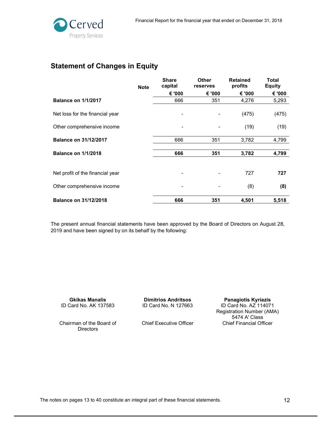

## Statement of Changes in Equity

|                                  | <b>Note</b> | <b>Share</b><br>capital | Other<br>reserves | <b>Retained</b><br>profits | Total<br><b>Equity</b> |
|----------------------------------|-------------|-------------------------|-------------------|----------------------------|------------------------|
|                                  |             | € '000                  | € '000            | € '000                     | € '000                 |
| <b>Balance on 1/1/2017</b>       |             | 666                     | 351               | 4,276                      | 5,293                  |
| Net loss for the financial year  |             |                         |                   | (475)                      | (475)                  |
| Other comprehensive income       |             |                         |                   | (19)                       | (19)                   |
| <b>Balance on 31/12/2017</b>     |             | 666                     | 351               | 3,782                      | 4,799                  |
| <b>Balance on 1/1/2018</b>       |             | 666                     | 351               | 3,782                      | 4,799                  |
| Net profit of the financial year |             |                         |                   | 727                        | 727                    |
| Other comprehensive income       |             |                         |                   | (8)                        | (8)                    |
| <b>Balance on 31/12/2018</b>     |             | 666                     | 351               | 4,501                      | 5,518                  |

The present annual financial statements have been approved by the Board of Directors on August 28, 2019 and have been signed by on its behalf by the following:

Gkikas Manalis ID Card No. AK 137583

Dimitrios Andritsos ID Card No. N 127663

Panagiotis Kyriazis ID Card No. AZ 114071 Registration Number (AMA) 5474 A' Class Chief Financial Officer

Chairman of the Board of **Directors** 

Chief Executive Officer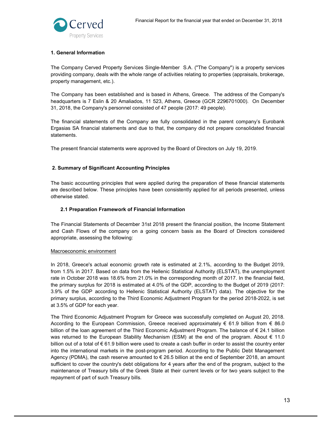

## 1. General Information

The Company Cerved Property Services Single-Member S.A. ("The Company") is a property services providing company, deals with the whole range of activities relating to properties (appraisals, brokerage, property management, etc.).

The Company has been established and is based in Athens, Greece. The address of the Company's headquarters is 7 Eslin & 20 Amaliados, 11 523, Athens, Greece (GCR 2296701000). On December 31, 2018, the Company's personnel consisted of 47 people (2017: 49 people).

The financial statements of the Company are fully consolidated in the parent company's Eurobank Ergasias SA financial statements and due to that, the company did not prepare consolidated financial statements.

The present financial statements were approved by the Board of Directors on July 19, 2019.

## 2. Summary of Significant Accounting Principles

The basic accounting principles that were applied during the preparation of these financial statements are described below. These principles have been consistently applied for all periods presented, unless otherwise stated.

#### 2.1 Preparation Framework of Financial Information

The Financial Statements of December 31st 2018 present the financial position, the Income Statement and Cash Flows of the company on a going concern basis as the Board of Directors considered appropriate, assessing the following:

#### Macroeconomic environment

In 2018, Greece's actual economic growth rate is estimated at 2.1%, according to the Budget 2019, from 1.5% in 2017. Based on data from the Hellenic Statistical Authority (ELSTAT), the unemployment rate in October 2018 was 18.6% from 21.0% in the corresponding month of 2017. In the financial field, the primary surplus for 2018 is estimated at 4.0% of the GDP, according to the Budget of 2019 (2017: 3.9% of the GDP according to Hellenic Statistical Authority (ELSTAT) data). The objective for the primary surplus, according to the Third Economic Adjustment Program for the period 2018-2022, is set at 3.5% of GDP for each year.

The Third Economic Adjustment Program for Greece was successfully completed on August 20, 2018. According to the European Commission, Greece received approximately € 61.9 billion from € 86.0 billion of the loan agreement of the Third Economic Adjustment Program. The balance of € 24.1 billion was returned to the European Stability Mechanism (ESM) at the end of the program. About € 11.0 billion out of a total of € 61.9 billion were used to create a cash buffer in order to assist the country enter into the international markets in the post-program period. According to the Public Debt Management Agency (PDMA), the cash reserve amounted to € 26.5 billion at the end of September 2018, an amount sufficient to cover the country's debt obligations for 4 years after the end of the program, subject to the maintenance of Treasury bills of the Greek State at their current levels or for two years subject to the repayment of part of such Treasury bills.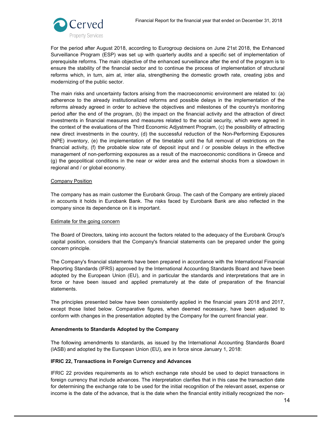

For the period after August 2018, according to Eurogroup decisions on June 21st 2018, the Enhanced Surveillance Program (ESP) was set up with quarterly audits and a specific set of implementation of prerequisite reforms. The main objective of the enhanced surveillance after the end of the program is to ensure the stability of the financial sector and to continue the process of implementation of structural reforms which, in turn, aim at, inter alia, strengthening the domestic growth rate, creating jobs and modernizing of the public sector.

The main risks and uncertainty factors arising from the macroeconomic environment are related to: (a) adherence to the already institutionalized reforms and possible delays in the implementation of the reforms already agreed in order to achieve the objectives and milestones of the country's monitoring period after the end of the program, (b) the impact on the financial activity and the attraction of direct investments in financial measures and measures related to the social security, which were agreed in the context of the evaluations of the Third Economic Adjystment Program, (c) the possibility of attracting new direct investments in the country, (d) the successful reduction of the Non-Performing Exposures (NPE) inventory, (e) the implementation of the timetable until the full removal of restrictions on the financial activity, (f) the probable slow rate of deposit input and / or possible delays in the effective management of non-performing exposures as a result of the macroeconomic conditions in Greece and (g) the geopolitical conditions in the near or wider area and the external shocks from a slowdown in regional and / or global economy.

#### **Company Position**

The company has as main customer the Eurobank Group. The cash of the Company are entirely placed in accounts it holds in Eurobank Bank. The risks faced by Eurobank Bank are also reflected in the company since its dependence on it is important.

#### Estimate for the going concern

The Board of Directors, taking into account the factors related to the adequacy of the Eurobank Group's capital position, considers that the Company's financial statements can be prepared under the going concern principle.

The Company's financial statements have been prepared in accordance with the International Financial Reporting Standards (IFRS) approved by the International Accounting Standards Board and have been adopted by the European Union (EU), and in particular the standards and interpretations that are in force or have been issued and applied prematurely at the date of preparation of the financial statements.

The principles presented below have been consistently applied in the financial years 2018 and 2017, except those listed below. Comparative figures, when deemed necessary, have been adjusted to conform with changes in the presentation adopted by the Company for the current financial year.

## Amendments to Standards Adopted by the Company

The following amendments to standards, as issued by the International Accounting Standards Board (IASB) and adopted by the European Union (EU), are in force since January 1, 2018:

#### IFRIC 22, Transactions in Foreign Currency and Advances

IFRIC 22 provides requirements as to which exchange rate should be used to depict transactions in foreign currency that include advances. The interpretation clarifies that in this case the transaction date for determining the exchange rate to be used for the initial recognition of the relevant asset, expense or income is the date of the advance, that is the date when the financial entity initially recognized the non-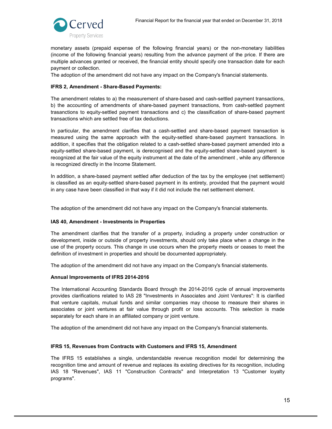

monetary assets (prepaid expense of the following financial years) or the non-monetary liabilities (income of the following financial years) resulting from the advance payment of the price. If there are multiple advances granted or received, the financial entity should specify one transaction date for each payment or collection.

The adoption of the amendment did not have any impact on the Company's financial statements.

## IFRS 2, Amendment - Share-Based Payments:

The amendment relates to a) the measurement of share-based and cash-settled payment transactions, b) the accounting of amendments of share-based payment transactions, from cash-settled payment trasanctions to equity-settled payment transactions and c) the classification of share-based payment transactions which are settled free of tax deductions.

In particular, the amendment clarifies that a cash-settled and share-based payment transaction is measured using the same approach with the equity-settled share-based payment transactions. In addition, it specifies that the obligation related to a cash-settled share-based payment amended into a equity-settled share-based payment, is derecognised and the equity-settled share-based payment is recognized at the fair value of the equity instrument at the date of the amendment , while any difference is recognized directly in the Income Statement.

In addition, a share-based payment settled after deduction of the tax by the employee (net settlement) is classified as an equity-settled share-based payment in its entirety, provided that the payment would in any case have been classified in that way if it did not include the net settlement element.

The adoption of the amendment did not have any impact on the Company's financial statements.

## IAS 40, Amendment - Investments in Properties

The amendment clarifies that the transfer of a property, including a property under construction or development, inside or outside of property investments, should only take place when a change in the use of the property occurs. This change in use occurs when the property meets or ceases to meet the definition of investment in properties and should be documented appropriately.

The adoption of the amendment did not have any impact on the Company's financial statements.

#### Annual Improvements of IFRS 2014-2016

The International Accounting Standards Board through the 2014-2016 cycle of annual improvements provides clarifications related to IAS 28 "Investments in Associates and Joint Ventures": It is clarified that venture capitals, mutual funds and similar companies may choose to measure their shares in associates or joint ventures at fair value through profit or loss accounts. This selection is made separately for each share in an affiliated company or joint venture.

The adoption of the amendment did not have any impact on the Company's financial statements.

#### IFRS 15, Revenues from Contracts with Customers and IFRS 15, Amendment

The IFRS 15 establishes a single, understandable revenue recognition model for determining the recognition time and amount of revenue and replaces its existing directives for its recognition, including IAS 18 "Revenues", IAS 11 "Construction Contracts" and Interpretation 13 "Customer loyalty programs".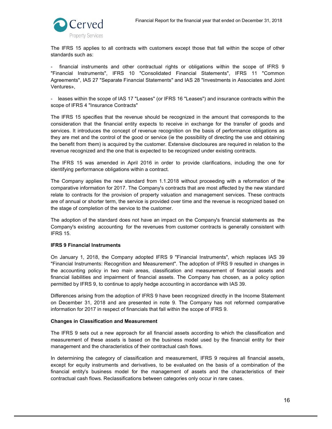

The IFRS 15 applies to all contracts with customers except those that fall within the scope of other standards such as:

- financial instruments and other contractual rights or obligations within the scope of IFRS 9 "Financial Instruments", IFRS 10 "Consolidated Financial Statements", IFRS 11 "Common Agreements", IAS 27 "Separate Financial Statements" and IAS 28 "Investments in Associates and Joint Ventures»,

- leases within the scope of IAS 17 "Leases" (or IFRS 16 "Leases") and insurance contracts within the scope of IFRS 4 "Insurance Contracts"

The IFRS 15 specifies that the revenue should be recognized in the amount that corresponds to the consideration that the financial entity expects to receive in exchange for the transfer of goods and services. It introduces the concept of revenue recognition on the basis of performance obligations as they are met and the control of the good or service (ie the possibility of directing the use and obtaining the benefit from them) is acquired by the customer. Extensive disclosures are required in relation to the revenue recognized and the one that is expected to be recognized under existing contracts.

The IFRS 15 was amended in April 2016 in order to provide clarifications, including the one for identifying performance obligations within a contract.

The Company applies the new standard from 1.1.2018 without proceeding with a reformation of the comparative information for 2017. The Company's contracts that are most affected by the new standard relate to contracts for the provision of property valuation and management services. These contracts are of annual or shorter term, the service is provided over time and the revenue is recognized based on the stage of completion of the service to the customer.

The adoption of the standard does not have an impact on the Company's financial statements as the Company's existing accounting for the revenues from customer contracts is generally consistent with IFRS 15.

## IFRS 9 Financial Instruments

On January 1, 2018, the Company adopted IFRS 9 "Financial Instruments", which replaces IAS 39 "Financial Instruments: Recognition and Measurement". The adoption of IFRS 9 resulted in changes in the accounting policy in two main areas, classification and measurement of financial assets and financial liabilities and impairment of financial assets. The Company has chosen, as a policy option permitted by IFRS 9, to continue to apply hedge accounting in accordance with IAS 39.

Differences arising from the adoption of IFRS 9 have been recognized directly in the Income Statement on December 31, 2018 and are presented in note 9. The Company has not reformed comparative information for 2017 in respect of financials that fall within the scope of IFRS 9.

#### Changes in Classification and Measurement

The IFRS 9 sets out a new approach for all financial assets according to which the classification and measurement of these assets is based on the business model used by the financial entity for their management and the characteristics of their contractual cash flows.

In determining the category of classification and measurement, IFRS 9 requires all financial assets, except for equity instruments and derivatives, to be evaluated on the basis of a combination of the financial entity's business model for the management of assets and the characteristics of their contractual cash flows. Reclassifications between categories only occur in rare cases.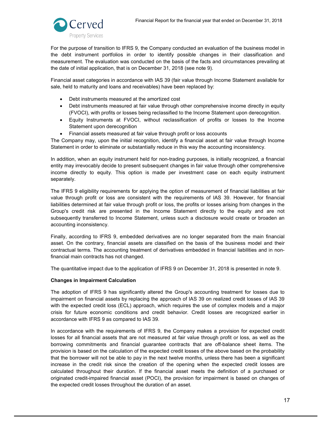

For the purpose of transition to IFRS 9, the Company conducted an evaluation of the business model in the debt instrument portfolios in order to identify possible changes in their classification and measurement. The evaluation was conducted on the basis of the facts and circumstances prevailing at the date of initial application, that is on December 31, 2018 (see note 9).

Financial asset categories in accordance with IAS 39 (fair value through Income Statement available for sale, held to maturity and loans and receivables) have been replaced by:

- Debt instruments measured at the amortized cost
- Debt instruments measured at fair value through other comprehensive income directly in equity (FVOCI), with profits or losses being reclassified to the Income Statement upon derecognition.
- Equity Instruments at FVOCI, without reclassification of profits or losses to the Income Statement upon derecognition
- Financial assets measured at fair value through profit or loss accounts

The Company may, upon the initial recognition, identify a financial asset at fair value through Income Statement in order to eliminate or substantially reduce in this way the accounting inconsistency.

In addition, when an equity instrument held for non-trading purposes, is initially recognized, a financial entity may irrevocably decide to present subsequent changes in fair value through other comprehensive income directly to equity. This option is made per investment case on each equity instrument separately.

The IFRS 9 eligibility requirements for applying the option of measurement of financial liabilities at fair value through profit or loss are consistent with the requirements of IAS 39. However, for financial liabilities determined at fair value through profit or loss, the profits or losses arising from changes in the Group's credit risk are presented in the Income Statement directly to the equity and are not subsequently transferred to Income Statement, unless such a disclosure would create or broaden an accounting inconsistency.

Finally, according to IFRS 9, embedded derivatives are no longer separated from the main financial asset. On the contrary, financial assets are classified on the basis of the business model and their contractual terms. The accounting treatment of derivatives embedded in financial liabilities and in nonfinancial main contracts has not changed.

The quantitative impact due to the application of IFRS 9 on December 31, 2018 is presented in note 9.

## Changes in Impairment Calculation

The adoption of IFRS 9 has significantly altered the Group's accounting treatment for losses due to impairment on financial assets by replacing the approach of IAS 39 on realized credit losses of IAS 39 with the expected credit loss (ECL) approach, which requires the use of complex models and a major crisis for future economic conditions and credit behavior. Credit losses are recognized earlier in accordance with IFRS 9 as compared to IAS 39.

In accordance with the requirements of IFRS 9, the Company makes a provision for expected credit losses for all financial assets that are not measured at fair value through profit or loss, as well as the borrowing commitments and financial guarantee contracts that are off-balance sheet items. The provision is based on the calculation of the expected credit losses of the above based on the probability that the borrower will not be able to pay in the next twelve months, unless there has been a significant increase in the credit risk since the creation of the opening when the expected credit losses are calculated throughout their duration. If the financial asset meets the definition of a purchased or originated credit-impaired financial asset (POCI), the provision for impairment is based on changes of the expected credit losses throughout the duration of an asset.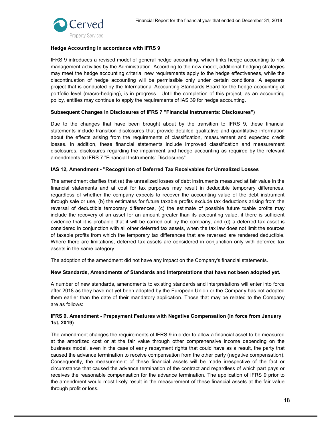

#### Hedge Accounting in accordance with IFRS 9

IFRS 9 introduces a revised model of general hedge accounting, which links hedge accounting to risk management activities by the Administration. According to the new model, additional hedging strategies may meet the hedge accounting criteria, new requirements apply to the hedge effectiveness, while the discontinuation of hedge accounting will be permissible only under certain conditions. A separate project that is conducted by the International Accounting Standards Board for the hedge accounting at portfolio level (macro-hedging), is in progress. Until the completion of this project, as an accounting policy, entities may continue to apply the requirements of IAS 39 for hedge accounting.

#### Subsequent Changes in Disclosures of IFRS 7 "Financial instruments: Disclosures")

Due to the changes that have been brought about by the transition to IFRS 9, these financial statements include transition disclosures that provide detailed qualitative and quantitative information about the effects arising from the requirements of classification, measurement and expected credit losses. In addition, these financial statements include improved classification and measurement disclosures, disclosures regarding the impairment and hedge accounting as required by the relevant amendments to IFRS 7 "Financial Instruments: Disclosures".

#### IAS 12, Amendment - "Recognition of Deferred Tax Receivables for Unrealized Losses

The amendment clarifies that (a) the unrealized losses of debt instruments measured at fair value in the financial statements and at cost for tax purposes may result in deductible temporary differences, regardless of whether the company expects to recover the accounting value of the debt instrument through sale or use, (b) the estimates for future taxable profits exclude tax deductions arising from the reversal of deductible temporary differences, (c) the estimate of possible future txable profits may include the recovery of an asset for an amount greater than its accounting value, if there is sufficient evidence that it is probable that it will be carried out by the company, and (d) a deferred tax asset is considered in conjunction with all other deferred tax assets, when the tax law does not limit the sources of taxable profits from which the temporary tax differences that are reversed are rendered deductible. Where there are limitations, deferred tax assets are considered in conjunction only with deferred tax assets in the same category.

The adoption of the amendment did not have any impact on the Company's financial statements.

#### New Standards, Amendments of Standards and Interpretations that have not been adopted yet.

A number of new standards, amendments to existing standards and interpretations will enter into force after 2018 as they have not yet been adopted by the European Union or the Company has not adopted them earlier than the date of their mandatory application. Those that may be related to the Company are as follows:

## IFRS 9, Amendment - Prepayment Features with Negative Compensation (in force from January 1st, 2019)

The amendment changes the requirements of IFRS 9 in order to allow a financial asset to be measured at the amortized cost or at the fair value through other comprehensive income depending on the business model, even in the case of early repayment rights that could have as a result, the party that caused the advance termination to receive compensation from the other party (negative compensation). Consequently, the measurement of these financial assets will be made irrespective of the fact or circumstance that caused the advance termination of the contract and regardless of which part pays or receives the reasonable compensation for the advance termination. The application of IFRS 9 prior to the amendment would most likely result in the measurement of these financial assets at the fair value through profit or loss.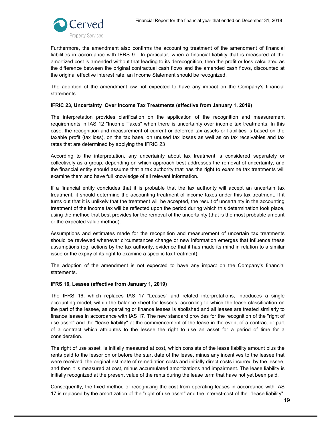

Furthermore, the amendment also confirms the accounting treatment of the amendment of financial liabilities in accordance with IFRS 9. In particular, when a financial liability that is measured at the amortized cost is amended without that leading to its derecognition, then the profit or loss calculated as the difference between the original contractual cash flows and the amended cash flows, discounted at the original effective interest rate, an Income Statement should be recognized.

The adoption of the amendment isw not expected to have any impact on the Company's financial statements.

## IFRIC 23, Uncertainty Over Income Tax Treatments (effective from January 1, 2019)

The interpretation provides clarification on the application of the recognition and measurement requirements in IAS 12 "Income Taxes" when there is uncertainty over income tax treatments. In this case, the recognition and measurement of current or deferred tax assets or liabilities is based on the taxable profit (tax loss), on the tax base, on unused tax losses as well as on tax receivables and tax rates that are determined by applying the IFRIC 23

According to the interpretation, any uncertainty about tax treatment is considered separately or collectively as a group, depending on which approach best addresses the removal of uncertainty, and the financial entity should assume that a tax authority that has the right to examine tax treatments will examine them and have full knowledge of all relevant information.

If a financial entity concludes that it is probable that the tax authority will accept an uncertain tax treatment, it should determine the accounting treatment of income taxes under this tax treatment. If it turns out that it is unlikely that the treatment will be accepted, the result of uncertainty in the accounting treatment of the income tax will be reflected upon the period during which this determination took place, using the method that best provides for the removal of the uncertainty (that is the most probable amount or the expected value method).

Assumptions and estimates made for the recognition and measurement of uncertain tax treatments should be reviewed whenever circumstances change or new information emerges that influence these assumptions (eg, actions by the tax authority, evidence that it has made its mind in relation to a similar issue or the expiry of its right to examine a specific tax treatment).

The adoption of the amendment is not expected to have any impact on the Company's financial statements.

#### IFRS 16, Leases (effective from January 1, 2019)

The IFRS 16, which replaces IAS 17 "Leases" and related interpretations, introduces a single accounting model, within the balance sheet for lessees, according to which the lease classification on the part of the lessee, as operating or finance leases is abolished and all leases are treated similarly to finance leases in accordance with IAS 17. The new standard provides for the recognition of the "right of use asset" and the "lease liability" at the commencement of the lease in the event of a contract or part of a contract which attributes to the lessee the right to use an asset for a period of time for a consideration.

The right of use asset, is initially measured at cost, which consists of the lease liability amount plus the rents paid to the lessor on or before the start date of the lease, minus any incentives to the lessee that were received, the original estimate of remediation costs and initially direct costs incurred by the lessee, and then it is measured at cost, minus accumulated amortizations and impairment. The lease liability is initially recognized at the present value of the rents during the lease term that have not yet been paid.

Consequently, the fixed method of recognizing the cost from operating leases in accordance with IAS 17 is replaced by the amortization of the "right of use asset" and the interest-cost of the "lease liability".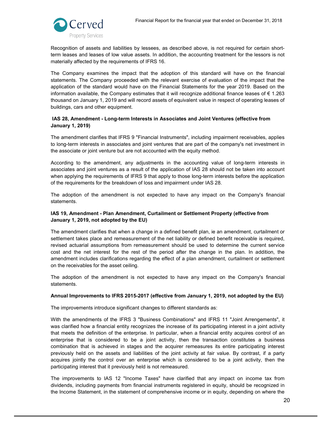

Recognition of assets and liabilities by lessees, as described above, is not required for certain shortterm leases and leases of low value assets. In addition, the accounting treatment for the lessors is not materially affected by the requirements of IFRS 16.

The Company examines the impact that the adoption of this standard will have on the financial statements. The Company proceeded with the relevant exercise of evaluation of the impact that the application of the standard would have on the Financial Statements for the year 2019. Based on the information available, the Company estimates that it will recognize additional finance leases of  $\epsilon$  1.263 thousand on January 1, 2019 and will record assets of equivalent value in respect of operating leases of buildings, cars and other equipment.

#### IAS 28, Amendment - Long-term Interests in Associates and Joint Ventures (effective from January 1, 2019)

The amendment clarifies that IFRS 9 "Financial Instruments", including impairment receivables, applies to long-term interests in associates and joint ventures that are part of the company's net investment in the associate or joint venture but are not accounted with the equity method.

According to the amendment, any adjustments in the accounting value of long-term interests in associates and joint ventures as a result of the application of IAS 28 should not be taken into account when applying the requirements of IFRS 9 that apply to those long-term interests before the application of the requirements for the breakdown of loss and impairment under IAS 28.

The adoption of the amendment is not expected to have any impact on the Company's financial statements.

## IAS 19, Amendment - Plan Amendment, Curtailment or Settlement Property (effective from January 1, 2019, not adopted by the EU)

The amendment clarifies that when a change in a defined benefit plan, ie an amendment, curtailment or settlement takes place and remeasurement of the net liability or defined benefit receivable is required, revised actuarial assumptions from remeasurement should be used to determine the current service cost and the net interest for the rest of the period after the change in the plan. In addition, the amendment includes clarifications regarding the effect of a plan amendment, curtailment or settlement on the receivables for the asset ceiling.

The adoption of the amendment is not expected to have any impact on the Company's financial statements.

#### Annual Improvements to IFRS 2015-2017 (effective from January 1, 2019, not adopted by the EU)

The improvements introduce significant changes to different standards as:

With the amendments of the IFRS 3 "Business Combinations" and IFRS 11 "Joint Arrengements", it was clarified how a financial entity recognizes the increase of its participating interest in a joint activity that meets the definition of the enterprise. In particular, when a financial entity acquires control of an enterprise that is considered to be a joint activity, then the transaction constitutes a business combination that is achieved in stages and the acquirer remeasures its entire participating interest previously held on the assets and liabilities of the joint activity at fair value. By contrast, if a party acquires jointly the control over an enterprise which is considered to be a joint activity, then the participating interest that it previously held is not remeasured.

The improvements to IAS 12 "Income Taxes" have clarified that any impact on income tax from dividends, including payments from financial instruments registered in equity, should be recognized in the Income Statement, in the statement of comprehensive income or in equity, depending on where the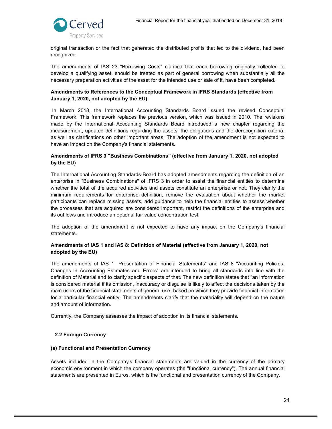

original transaction or the fact that generated the distributed profits that led to the dividend, had been recognized.

The amendments of IAS 23 "Borrowing Costs" clarified that each borrowing originally collected to develop a qualifying asset, should be treated as part of general borrowing when substantially all the necessary preparation activities of the asset for the intended use or sale of it, have been completed.

## Amendments to References to the Conceptual Framework in IFRS Standards (effective from January 1, 2020, not adopted by the EU)

 In March 2018, the International Accounting Standards Board issued the revised Conceptual Framework. This framework replaces the previous version, which was issued in 2010. The revisions made by the International Accounting Standards Board introduced a new chapter regarding the measurement, updated definitions regarding the assets, the obligations and the derecognition criteria, as well as clarifications on other important areas. The adoption of the amendment is not expected to have an impact on the Company's financial statements.

## Amendments of IFRS 3 "Business Combinations" (effective from January 1, 2020, not adopted by the EU)

The International Accounting Standards Board has adopted amendments regarding the definition of an enterprise in "Business Combinations" of IFRS 3 in order to assist the financial entities to determine whether the total of the acquired activities and assets constitute an enterprise or not. They clarify the minimum requirements for enterprise definition, remove the evaluation about whether the market participants can replace missing assets, add guidance to help the financial entities to assess whether the processes that are acquired are considered important, restrict the definitions of the enterprise and its outflows and introduce an optional fair value concentration test.

The adoption of the amendment is not expected to have any impact on the Company's financial statements.

## Amendments of IAS 1 and IAS 8: Definition of Material (effective from January 1, 2020, not adopted by the EU)

The amendments of IAS 1 "Presentation of Financial Statements" and IAS 8 "Accounting Policies, Changes in Accounting Estimates and Errors" are intended to bring all standards into line with the definition of Material and to clarify specific aspects of that. The new definition states that "an information is considered material if its omission, inaccuracy or disguise is likely to affect the decisions taken by the main users of the financial statements of general use, based on which they provide financial information for a particular financial entity. The amendments clarify that the materiality will depend on the nature and amount of information.

Currently, the Company assesses the impact of adoption in its financial statements.

## 2.2 Foreign Currency

## (a) Functional and Presentation Currency

Assets included in the Company's financial statements are valued in the currency of the primary economic environment in which the company operates (the "functional currency"). The annual financial statements are presented in Euros, which is the functional and presentation currency of the Company.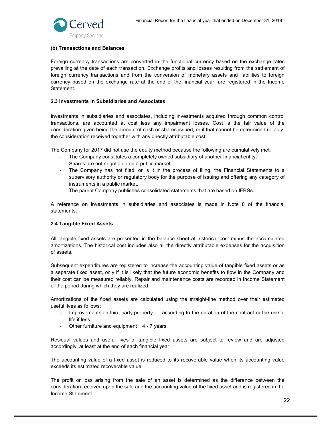

#### (b) Transactions and Balances

Foreign currency transactions are converted in the functional currency based on the exchange rates prevailing at the date of each transaction. Exchange profits and losses resulting from the settlement of foreign currency transactions and from the conversion of monetary assets and liabilities to foreign currency based on the exchange rate at the end of the financial year, are registered in the Income Statement.

## 2.3 Investments in Subsidiaries and Associates

Investments in subsidiaries and associates, including investments acquired through common control transactions, are accounted at cost less any impairment losses. Cost is the fair value of the consideration given being the amount of cash or shares issued, or if that cannot be determined reliably, the consideration received together with any directly attributable cost.

The Company for 2017 did not use the equity method because the following are cumulatively met:

- The Company constitutes a completely owned subsidiary of another financial entity,
- Shares are not negotiable on a public market,
- The Company has not filed, or is it in the process of filing, the Financial Statements to a supervisory authority or regulatory body for the purpose of issuing and offering any category of instruments in a public market,
- The parent Company publishes consolidated statements that are based on IFRSs.

A reference on investments in subsidiaries and associates is made in Note 8 of the financial statements.

## 2.4 Tangible Fixed Assets

All tangible fixed assets are presented in the balance sheet at historical cost minus the accumulated amortizations. The historical cost includes also all the directly attributable expenses for the acquisition of assets.

Subsequent expenditures are registered to increase the accounting value of tangible fixed assets or as a separate fixed asset, only if it is likely that the future economic benefits to flow in the Company and their cost can be measured reliably. Repair and maintenance costs are recorded in Income Statement of the period during which they are realized.

Amortizations of the fixed assets are calculated using the straight-line method over their estimated useful lives as follows:

- Improvements on third-party property according to the duration of the contract or the useful life if less
- Other furniture and equipment 4 7 years

Residual values and useful lives of tangible fixed assets are subject to review and are adjusted accordingly, at least at the end of each financial year.

The accounting value of a fixed asset is reduced to its recoverable value when its accounting value exceeds its estimated recoverable value.

The profit or loss arising from the sale of an asset is determined as the difference between the consideration received upon the sale and the accounting value of the fixed asset and is registered in the Income Statement.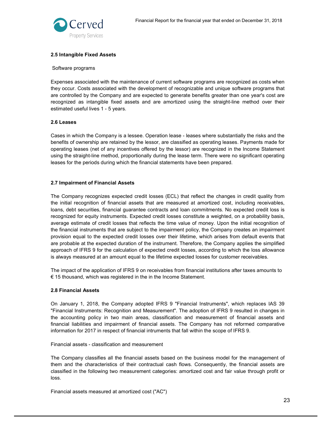

## 2.5 Intangible Fixed Assets

#### Software programs

Expenses associated with the maintenance of current software programs are recognized as costs when they occur. Costs associated with the development of recognizable and unique software programs that are controlled by the Company and are expected to generate benefits greater than one year's cost are recognized as intangible fixed assets and are amortized using the straight-line method over their estimated useful lives 1 - 5 years.

## 2.6 Leases

Cases in which the Company is a lessee. Operation lease - leases where substantially the risks and the benefits of ownership are retained by the lessor, are classified as operating leases. Payments made for operating leases (net of any incentives offered by the lessor) are recognized in the Income Statement using the straight-line method, proportionally during the lease term. There were no significant operating leases for the periods during which the financial statements have been prepared.

#### 2.7 Impairment of Financial Assets

The Company recognizes expected credit losses (ECL) that reflect the changes in credit quality from the initial recognition of financial assets that are measured at amortized cost, including receivables, loans, debt securities, financial guarantee contracts and loan commitments. No expected credit loss is recognized for equity instruments. Expected credit losses constitute a weighted, on a probability basis, average estimate of credit losses that reflects the time value of money. Upon the initial recognition of the financial instruments that are subject to the impairment policy, the Company creates an impairment provision equal to the expected credit losses over their lifetime, which arises from default events that are probable at the expected duration of the instrument. Therefore, the Company applies the simplified approach of IFRS 9 for the calculation of expected credit losses, according to which the loss allowance is always measured at an amount equal to the lifetime expected losses for customer receivables.

The impact of the application of IFRS 9 on receivables from financial institutions after taxes amounts to € 15 thousand, which was registered in the in the Income Statement.

## 2.8 Financial Assets

On January 1, 2018, the Company adopted IFRS 9 "Financial Instruments", which replaces IAS 39 "Financial Instruments: Recognition and Measurement". The adoption of IFRS 9 resulted in changes in the accounting policy in two main areas, classification and measurement of financial assets and financial liabilities and impairment of financial assets. The Company has not reformed comparative information for 2017 in respect of financial intruments that fall within the scope of IFRS 9.

Financial assets - classification and measurement

The Company classifies all the financial assets based on the business model for the management of them and the characteristics of their contractual cash flows. Consequently, the financial assets are classified in the following two measurement categories: amortized cost and fair value through profit or loss.

Financial assets measured at amortized cost ("AC")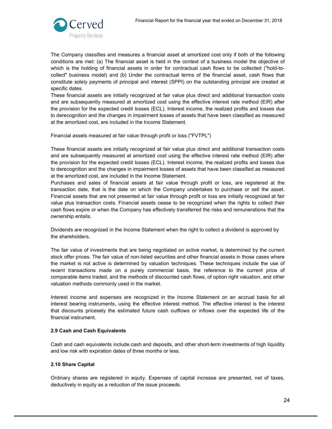

The Company classifies and measures a financial asset at amortized cost only if both of the following conditions are met: (a) The financial asset is held in the context of a business model the objective of which is the holding of financial assets in order for contractual cash flows to be collected ("hold-tocollect" business model) and (b) Under the contractual terms of the financial asset, cash flows that constitute solely payments of principal and interest (SPPI) on the outstanding principal are created at specific dates.

These financial assets are initially recognized at fair value plus direct and additional transaction costs and are subsequently measured at amortized cost using the effective interest rate method (EIR) after the provision for the expected credit losses (ECL). Interest income, the realized profits and losses due to derecognition and the changes in impairment losses of assets that have been classified as measured at the amortized cost, are included in the Income Statement.

Financial assets measured at fair value through profit or loss ("FVTPL")

These financial assets are initially recognized at fair value plus direct and additional transaction costs and are subsequently measured at amortized cost using the effective interest rate method (EIR) after the provision for the expected credit losses (ECL). Interest income, the realized profits and losses due to derecognition and the changes in impairment losses of assets that have been classified as measured at the amortized cost, are included in the Income Statement.

Purchases and sales of financial assets at fair value through profit or loss, are registered at the transaction date, that is the date on which the Company undertakes to purchase or sell the asset. Financial assets that are not presented at fair value through profit or loss are initially recognized at fair value plus transaction costs. Financial assets cease to be recognized when the rights to collect their cash flows expire or when the Company has effectively transferred the risks and remunerations that the ownership entails.

Dividends are recognized in the Income Statement when the right to collect a dividend is approved by the shareholders.

The fair value of investments that are being negotiated on active market, is determined by the current stock offer prices. The fair value of non-listed securities and other financial assets in those cases where the market is not active is determined by valuation techniques. These techniques include the use of recent transactions made on a purely commercial basis, the reference to the current price of comparable items traded, and the methods of discounted cash flows, of option right valuation, and other valuation methods commonly used in the market.

Interest income and expenses are recognized in the Income Statement on an accrual basis for all interest bearing instruments, using the effective interest method. The effective interest is the interest that discounts pricesely the estimated future cash outflows or inflows over the expected life of the financial instrument.

## 2.9 Cash and Cash Equivalents

Cash and cash equivalents include cash and deposits, and other short-term investments of high liquidity and low risk with expiration dates of three months or less.

## 2.10 Share Capital

Ordinary shares are registered in equity. Expenses of capital increase are presented, net of taxes, deductively in equity as a reduction of the issue proceeds.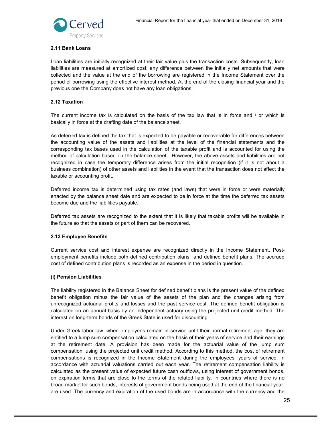

## 2.11 Bank Loans

Loan liabilities are initially recognized at their fair value plus the transaction costs. Subsequently, loan liabilities are measured at amortized cost: any difference between the initially net amounts that were collected and the value at the end of the borrowing are registered in the Income Statement over the period of borrowing using the effective interest method. At the end of the closing financial year and the previous one the Company does not have any loan obligations.

## 2.12 Taxation

The current income tax is calculated on the basis of the tax law that is in force and / or which is basically in force at the drafting date of the balance sheet.

As deferred tax is defined the tax that is expected to be payable or recoverable for differences between the accounting value of the assets and liabilities at the level of the financial statements and the corresponding tax bases used in the calculation of the taxable profit and is accounted for using the method of calculation based on the balance sheet. However, the above assets and liabilities are not recognized in case the temporary difference arises from the initial recognition (if it is not about a business combination) of other assets and liabilities in the event that the transaction does not affect the taxable or accounting profit.

Deferred income tax is determined using tax rates (and laws) that were in force or were materially enacted by the balance sheet date and are expected to be in force at the time the deferred tax assets become due and the liabilities payable.

Deferred tax assets are recognized to the extent that it is likely that taxable profits will be available in the future so that the assets or part of them can be recovered.

#### 2.13 Employee Benefits

Current service cost and interest expense are recognized directly in the Income Statement. Postemployment benefits include both defined contribution plans and defined benefit plans. The accrued cost of defined contribution plans is recorded as an expense in the period in question.

#### (i) Pension Liabilities

The liability registered in the Balance Sheet for defined benefit plans is the present value of the defined benefit obligation minus the fair value of the assets of the plan and the changes arising from unrecognized actuarial profits and losses and the past service cost. The defined benefit obligation is calculated on an annual basis by an independent actuary using the projected unit credit method. The interest on long-term bonds of the Greek State is used for discounting.

Under Greek labor law, when employees remain in service until their normal retirement age, they are entitled to a lump sum compensation calculated on the basis of their years of service and their earnings at the retirement date. A provision has been made for the actuarial value of the lump sum compensation, using the projected unit credit method. According to this method, the cost of retirement compensations is recognized in the Income Statement during the employees' years of service, in accordance with actuarial valuations carried out each year. The retirement compensation liability is calculated as the present value of expected future cash outflows, using interest of government bonds, on expiration terms that are close to the terms of the related liability. In countries where there is no broad market for such bonds, interests of government bonds being used at the end of the financial year, are used. The currency and expiration of the used bonds are in accordance with the currency and the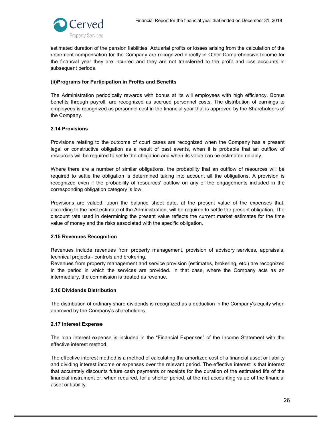

estimated duration of the pension liabilities. Actuarial profits or losses arising from the calculation of the retirement compensation for the Company are recognized directly in Other Comprehensive Income for the financial year they are incurred and they are not transferred to the profit and loss accounts in subsequent periods.

## (ii)Programs for Participation in Profits and Benefits

The Administration periodically rewards with bonus at its will employees with high efficiency. Bonus benefits through payroll, are recognized as accrued personnel costs. The distribution of earnings to employees is recognized as personnel cost in the financial year that is approved by the Shareholders of the Company.

## 2.14 Provisions

Provisions relating to the outcome of court cases are recognized when the Company has a present legal or constructive obligation as a result of past events, when it is probable that an outflow of resources will be required to settle the obligation and when its value can be estimated reliably.

Where there are a number of similar obligations, the probability that an outflow of resources will be required to settle the obligation is determined taking into account all the obligations. A provision is recognized even if the probability of resources' outflow on any of the engagements included in the corresponding obligation category is low.

Provisions are valued, upon the balance sheet date, at the present value of the expenses that, according to the best estimate of the Administration, will be required to settle the present obligation. The discount rate used in determining the present value reflects the current market estimates for the time value of money and the risks associated with the specific obligation.

## 2.15 Revenues Recognition

Revenues include revenues from property management, provision of advisory services, appraisals, technical projects - controls and brokering.

Revenues from property management and service provision (estimates, brokering, etc.) are recognized in the period in which the services are provided. In that case, where the Company acts as an intermediary, the commission is treated as revenue.

## 2.16 Dividends Distribution

The distribution of ordinary share dividends is recognized as a deduction in the Company's equity when approved by the Company's shareholders.

## 2.17 Interest Expense

The loan interest expense is included in the "Financial Expenses" of the Income Statement with the effective interest method.

The effective interest method is a method of calculating the amortized cost of a financial asset or liability and dividing interest income or expenses over the relevant period. The effective interest is that interest that accurately discounts future cash payments or receipts for the duration of the estimated life of the financial instrument or, when required, for a shorter period, at the net accounting value of the financial asset or liability.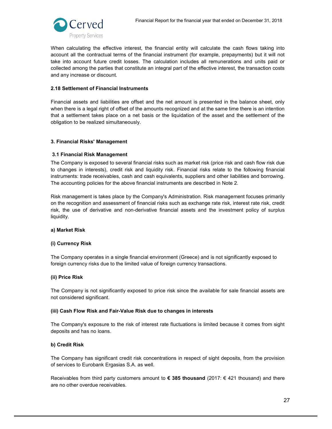

When calculating the effective interest, the financial entity will calculate the cash flows taking into account all the contractual terms of the financial instrument (for example, prepayments) but it will not take into account future credit losses. The calculation includes all remunerations and units paid or collected among the parties that constitute an integral part of the effective interest, the transaction costs and any increase or discount.

## 2.18 Settlement of Financial Instruments

Financial assets and liabilities are offset and the net amount is presented in the balance sheet, only when there is a legal right of offset of the amounts recognized and at the same time there is an intention that a settlement takes place on a net basis or the liquidation of the asset and the settlement of the obligation to be realized simultaneously.

#### 3. Financial Risks' Management

#### 3.1 Financial Risk Management

The Company is exposed to several financial risks such as market risk (price risk and cash flow risk due to changes in interests), credit risk and liquidity risk. Financial risks relate to the following financial instruments: trade receivables, cash and cash equivalents, suppliers and other liabilities and borrowing. The accounting policies for the above financial instruments are described in Note 2.

Risk management is takes place by the Company's Administration. Risk management focuses primarily on the recognition and assessment of financial risks such as exchange rate risk, interest rate risk, credit risk, the use of derivative and non-derivative financial assets and the investment policy of surplus liquidity.

#### a) Market Risk

#### (i) Currency Risk

The Company operates in a single financial environment (Greece) and is not significantly exposed to foreign currency risks due to the limited value of foreign currency transactions.

#### (ii) Price Risk

The Company is not significantly exposed to price risk since the available for sale financial assets are not considered significant.

#### (iii) Cash Flow Risk and Fair-Value Risk due to changes in interests

The Company's exposure to the risk of interest rate fluctuations is limited because it comes from sight deposits and has no loans.

#### b) Credit Risk

The Company has significant credit risk concentrations in respect of sight deposits, from the provision of services to Eurobank Ergasias S.A. as well.

Receivables from third party customers amount to € 385 thousand (2017: € 421 thousand) and there are no other overdue receivables.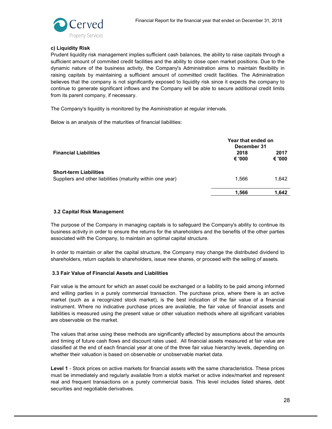

#### c) Liquidity Risk

Prudent liquidity risk management implies sufficient cash balances, the ability to raise capitals through a sufficient amount of commited credit facilities and the ability to close open market positions. Due to the dynamic nature of the business activity, the Company's Administration aims to maintain flexibility in raising capitals by maintaining a sufficient amount of committed credit facilities. The Administration believes that the company is not significantly exposed to liquidity risk since it expects the company to continue to generate significant inflows and the Company will be able to secure additional credit limits from its parent company, if necessary.

The Company's liquidity is monitored by the Asministration at regular intervals.

Below is an analysis of the maturities of financial liabilities:

|                                                                                             | Year that ended on<br>December 31 |                |
|---------------------------------------------------------------------------------------------|-----------------------------------|----------------|
| <b>Financial Liabilities</b>                                                                | 2018<br>€ '000                    | 2017<br>€ '000 |
| <b>Short-term Liabilities</b><br>Suppliers and other liabilities (maturity within one year) | 1,566                             | 1,642          |
|                                                                                             | 1,566                             | 1,642          |

#### 3.2 Capital Risk Management

The purpose of the Company in managing capitals is to safeguard the Company's ability to continue its business activity in order to ensure the returns for the shareholders and the benefits of the other parties associated with the Company, to maintain an optimal capital structure.

In order to maintain or alter the capital structure, the Company may change the distributed dividend to shareholders, return capitals to shareholders, issue new shares, or proceed with the selling of assets.

#### 3.3 Fair Value of Financial Assets and Liabilities

Fair value is the amount for which an asset could be exchanged or a liability to be paid among informed and willing parties in a purely commercial transaction. The purchase price, where there is an active market (such as a recognized stock market), is the best indication of the fair value of a financial instrument. Where no indicative purchase prices are available, the fair value of financial assets and liabilities is measured using the present value or other valuation methods where all significant variables are observable on the market.

The values that arise using these methods are significantly affected by assumptions about the amounts and timing of future cash flows and discount rates used. All financial assets measured at fair value are classified at the end of each financial year at one of the three fair value hierarchy levels, depending on whether their valuation is based on observable or unobservable market data.

Level 1 - Stock prices on active markets for financial assets with the same characteristics. These prices must be immediately and regularly available from a stofck market or active index/market and represent real and frequent transactions on a purely commercial basis. This level includes listed shares, debt securities and negotiable derivatives.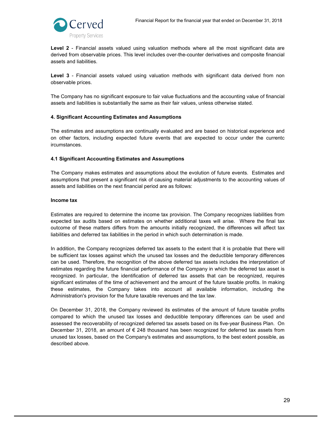

Level 2 - Financial assets valued using valuation methods where all the most significant data are derived from observable prices. This level includes over-the-counter derivatives and composite financial assets and liabilities.

Level 3 - Financial assets valued using valuation methods with significant data derived from non observable prices.

The Company has no significant exposure to fair value fluctuations and the accounting value of financial assets and liabilities is substantially the same as their fair values, unless otherwise stated.

#### 4. Significant Accounting Estimates and Assumptions

The estimates and assumptions are continually evaluated and are based on historical experience and on other factors, including expected future events that are expected to occur under the currentc ircumstances.

#### 4.1 Significant Accounting Estimates and Assumptions

The Company makes estimates and assumptions about the evolution of future events. Estimates and assumptions that present a significant risk of causing material adjustments to the accounting values of assets and liabilities on the next financial period are as follows:

#### Income tax

Estimates are required to determine the income tax provision. The Company recognizes liabilities from expected tax audits based on estimates on whether additional taxes will arise. Where the final tax outcome of these matters differs from the amounts initially recognized, the differences will affect tax liabilities and deferred tax liabilities in the period in which such determination is made.

In addition, the Company recognizes deferred tax assets to the extent that it is probable that there will be sufficient tax losses against which the unused tax losses and the deductible temporary differences can be used. Therefore, the recognition of the above deferred tax assets includes the interpretation of estimates regarding the future financial performance of the Company in which the deferred tax asset is recognized. In particular, the identification of deferred tax assets that can be recognized, requires significant estimates of the time of achievement and the amount of the future taxable profits. In making these estimates, the Company takes into account all available information, including the Administration's provision for the future taxable revenues and the tax law.

On December 31, 2018, the Company reviewed its estimates of the amount of future taxable profits compared to which the unused tax losses and deductible temporary differences can be used and assessed the recoverability of recognized deferred tax assets based on its five-year Business Plan. On December 31, 2018, an amount of € 248 thousand has been recognized for deferred tax assets from unused tax losses, based on the Company's estimates and assumptions, to the best extent possible, as described above.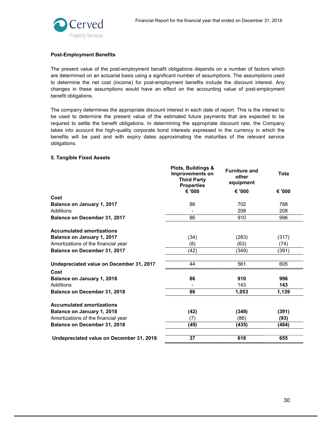

#### Post-Employment Benefits

The present value of the post-employment benafit obligations depends on a number of factors which are determined on an actuarial basis using a significant number of assumptions. The assumptions used to determine the net cost (income) for post-employment benefits include the discount interest. Any changes in these assumptions would have an effect on the accounting value of post-employment benefit obligations.

The company determines the appropriate discount interest in each date of report. This is the interest to be used to determine the present value of the estimated future payments that are expected to be required to settle the benefit obligations. In determining the appropriate discount rate, the Company takes into account the high-quality corporate bond interests expressed in the currency in which the benefits will be paid and with expiry dates approximating the maturities of the relevant service obligations.

#### 5. Tangible Fixed Assets

|                                          | Plots, Buildings &<br>Improvements on<br><b>Third Party</b><br><b>Properties</b> | <b>Furniture and</b><br>other<br>equipment | Tota   |
|------------------------------------------|----------------------------------------------------------------------------------|--------------------------------------------|--------|
|                                          | € '000                                                                           | € '000                                     | € '000 |
| Cost                                     |                                                                                  |                                            |        |
| Balance on January 1, 2017               | 86                                                                               | 702                                        | 788    |
| Additions                                |                                                                                  | 208                                        | 208    |
| Balance on December 31, 2017             | 86                                                                               | 910                                        | 996    |
| <b>Accumulated amortizations</b>         |                                                                                  |                                            |        |
| Balance on January 1, 2017               | (34)                                                                             | (283)                                      | (317)  |
| Amortizations of the financial year      | (8)                                                                              | (63)                                       | (74)   |
| Balance on December 31, 2017             | (42)                                                                             | (349)                                      | (391)  |
| Undepreciated value on December 31, 2017 | 44                                                                               | 561                                        | 605    |
| Cost                                     |                                                                                  |                                            |        |
| Balance on January 1, 2018               | 86                                                                               | 910                                        | 996    |
| Additions                                |                                                                                  | 143                                        | 143    |
| Balance on December 31, 2018             | 86                                                                               | 1,053                                      | 1,139  |
| <b>Accumulated amortizations</b>         |                                                                                  |                                            |        |
| Balance on January 1, 2018               | (42)                                                                             | (349)                                      | (391)  |
| Amortizations of the financial year      | (7)                                                                              | (86)                                       | (93)   |
| Balance on December 31, 2018             | (49)                                                                             | (435)                                      | (484)  |
| Undepreciated value on December 31, 2018 | 37                                                                               | 618                                        | 655    |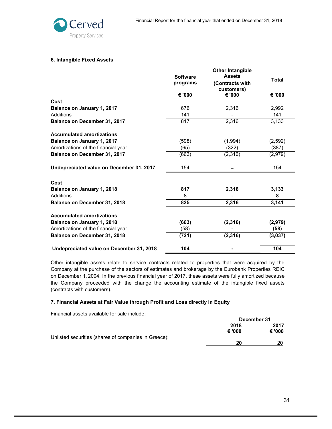

## 6. Intangible Fixed Assets

| <b>Software</b> | <b>Other Intangible</b><br><b>Assets</b> | <b>Total</b>                         |
|-----------------|------------------------------------------|--------------------------------------|
|                 | customers)                               |                                      |
| € '000          | € '000                                   | € '000                               |
|                 |                                          |                                      |
| 676             | 2.316                                    | 2.992                                |
| 141             |                                          | 141                                  |
| 817             | 2,316                                    | 3,133                                |
|                 |                                          |                                      |
| (598)           | (1,994)                                  | (2,592)                              |
| (65)            | (322)                                    | (387)                                |
| (663)           | (2, 316)                                 | (2,979)                              |
| 154             |                                          | 154                                  |
|                 |                                          |                                      |
| 817             |                                          | 3,133                                |
| 8               |                                          | 8                                    |
| 825             | 2,316                                    | 3,141                                |
|                 |                                          |                                      |
|                 |                                          | (2,979)                              |
| (58)            |                                          | (58)                                 |
| (721)           | (2, 316)                                 | (3,037)                              |
| 104             | $\blacksquare$                           | 104                                  |
|                 | programs<br>(663)                        | (Contracts with<br>2,316<br>(2, 316) |

Other intangible assets relate to service contracts related to properties that were acquired by the Company at the purchase of the sectors of estimates and brokerage by the Eurobank Properties REIC on December 1, 2004. In the previous financial year of 2017, these assets were fully amortized because the Company proceeded with the change the accounting estimate of the intangible fixed assets (contracts with customers).

## 7. Financial Assets at Fair Value through Profit and Loss directly in Equity

Financial assets available for sale include:

|                                                      | December 31 |         |
|------------------------------------------------------|-------------|---------|
|                                                      | 2018        | 2017    |
| Unlisted securities (shares of companies in Greece): | € '000      | € '000' |
|                                                      | 20          | 20      |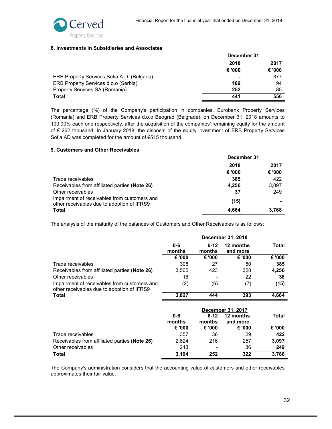

#### 8. Investments in Subsidiaries and Associates

|                                             | December 31 |        |
|---------------------------------------------|-------------|--------|
|                                             | 2018        |        |
|                                             | € '000      | € '000 |
| ERB Property Services Sofia A.D. (Bulgaria) | ٠           | 377    |
| ERB Property Services d.o.o (Serbia)        | 189         | 94     |
| Property Services SA (Romania)              | 252         | 85     |
| Total                                       | 441         | 556    |

The percentage (%) of the Company's participation in companies, Eurobank Property Services (Romania) and ERB Property Services d.o.o Beograd (Belgrade), on December 31, 2018 amounts to 100.00% each one respectively, after the acquisition of the companies' remaining equity for the amount of € 262 thousand. In January 2018, the disposal of the equity investment of ERB Property Services Sofia AD was completed for the amount of €515 thousand.

#### 9. Customers and Other Receivables

|                                                                                            | December 31 |        |  |
|--------------------------------------------------------------------------------------------|-------------|--------|--|
|                                                                                            | 2018        | 2017   |  |
|                                                                                            | € '000      | € '000 |  |
| Trade receivables                                                                          | 385         | 422    |  |
| Receivables from affiliated parties (Note 26)                                              | 4,256       | 3,097  |  |
| Other receivables                                                                          | 37          | 249    |  |
| Impairment of receivables from customers and<br>other receivables due to adoption of IFRS9 | (15)        |        |  |
| Total                                                                                      | 4.664       | 3.768  |  |

The analysis of the maturity of the balances of Customers and Other Receivables is as follows:

|                                                                                            | December 31, 2018 |                    |                       |        |
|--------------------------------------------------------------------------------------------|-------------------|--------------------|-----------------------|--------|
|                                                                                            | $0 - 6$<br>months | $6 - 12$<br>months | 12 months<br>and more | Total  |
|                                                                                            | € '000            | € '000             | € '000                | € '000 |
| Trade receivables                                                                          | 308               | 27                 | 50                    | 385    |
| Receivables from affiliated parties (Note 26)                                              | 3,505             | 423                | 328                   | 4,256  |
| Other receivables                                                                          | 16                | -                  | 22                    | 38     |
| Impairment of receivables from customers and<br>other receivables due to adoption of IFRS9 | (2)               | (6)                | (7)                   | (15)   |
| <b>Total</b>                                                                               | 3,827             | 444                | 393                   | 4.664  |

|                                               | December 31, 2017 |                          |           |        |
|-----------------------------------------------|-------------------|--------------------------|-----------|--------|
|                                               | $0 - 6$           | $6 - 12$                 | 12 months | Total  |
|                                               | months            | months                   | and more  |        |
|                                               | € '000            | € '000                   | € '000    | € '000 |
| Trade receivables                             | 357               | 36                       | 29        | 422    |
| Receivables from affiliated parties (Note 26) | 2,624             | 216                      | 257       | 3,097  |
| Other receivables                             | 213               | $\overline{\phantom{a}}$ | 36        | 249    |
| <b>Total</b>                                  | 3.194             | 252                      | 322       | 3.768  |

The Company's administration considers that the accounting value of customers and other receivables approximates their fair value.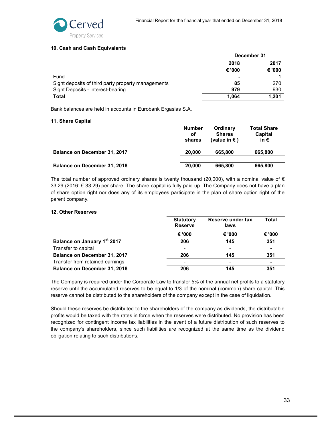## 10. Cash and Cash Equivalents

|                                                    | December 31 |        |
|----------------------------------------------------|-------------|--------|
|                                                    | 2018        | 2017   |
|                                                    | € '000      | € '000 |
| Fund                                               |             |        |
| Sight deposits of third party property managements | 85          | 270    |
| Sight Deposits - interest-bearing                  | 979         | 930    |
| Total                                              | 1.064       | 1.201  |

Bank balances are held in accounts in Eurobank Ergasias S.A.

## 11. Share Capital

|                              | <b>Number</b><br>οf<br>shares | Ordinary<br><b>Shares</b><br>(value in $\epsilon$ ) | <b>Total Share</b><br>Capital<br>in € |
|------------------------------|-------------------------------|-----------------------------------------------------|---------------------------------------|
| Balance on December 31, 2017 | 20,000                        | 665,800                                             | 665,800                               |
| Balance on December 31, 2018 | 20,000                        | 665,800                                             | 665,800                               |

The total number of approved ordinary shares is twenty thousand (20,000), with a nominal value of  $\epsilon$ 33.29 (2016: € 33.29) per share. The share capital is fully paid up. The Company does not have a plan of share option right nor does any of its employees participate in the plan of share option right of the parent company.

## 12. Other Reserves

|                                     | <b>Statutory</b><br><b>Reserve</b> | Reserve under tax<br>laws | <b>Total</b> |
|-------------------------------------|------------------------------------|---------------------------|--------------|
|                                     | € '000                             | € '000                    | € '000       |
| Balance on January 1st 2017         | 206                                | 145                       | 351          |
| Transfer to capital                 |                                    |                           | ۰            |
| <b>Balance on December 31, 2017</b> | 206                                | 145                       | 351          |
| Transfer from retained earnings     |                                    |                           | ۰            |
| Balance on December 31, 2018        | 206                                | 145                       | 351          |

The Company is required under the Corporate Law to transfer 5% of the annual net profits to a statutory reserve until the accumulated reserves to be equal to 1/3 of the nominal (common) share capital. This reserve cannot be distributed to the shareholders of the company except in the case of liquidation.

Should these reserves be distributed to the shareholders of the company as dividends, the distributable profits would be taxed with the rates in force when the reserves were distributed. No provision has been recognized for contingent income tax liabilities in the event of a future distribution of such reserves to the company's shareholders, since such liabilities are recognized at the same time as the dividend obligation relating to such distributions.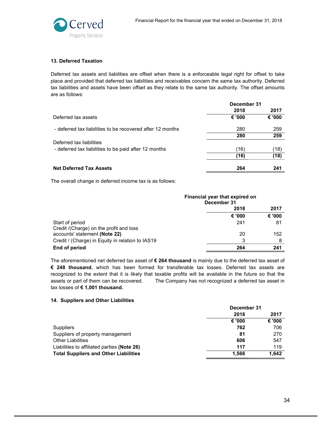

## 13. Deferred Taxation

Deferred tax assets and liabilities are offset when there is a enforceable legal right for offset to take place and provided that deferred tax liabilities and receivables concern the same tax authority. Deferred tax liabilities and assets have been offset as they relate to the same tax authority. The offset amounts are as follows:

|                                                            | December 31 |        |
|------------------------------------------------------------|-------------|--------|
|                                                            | 2018        | 2017   |
| Deferred tax assets                                        | € '000      | € '000 |
| - deferred tax liabilities to be recovered after 12 months | 280         | 259    |
|                                                            | 280         | 259    |
| Deferred tax liabilities                                   |             |        |
| - deferred tax liabilities to be paid after 12 months      | (16)        | (18)   |
|                                                            | (16)        | (18)   |
| <b>Net Deferred Tax Assets</b>                             | 264         | 241    |

The overall change in deferred income tax is as follows:

|                                                  | Financial year that expired on |        |
|--------------------------------------------------|--------------------------------|--------|
|                                                  | December 31                    |        |
|                                                  | 2018                           | 2017   |
|                                                  | € '000                         | € '000 |
| Start of period                                  | 241                            | 81     |
| Credit /(Charge) on the profit and loss          |                                |        |
| accounts' statement (Note 22)                    | 20                             | 152    |
| Credit / (Charge) in Equity in relation to IAS19 | 3                              | 8      |
| End of period                                    | 264                            | 241    |

The aforementioned net deferred tax asset of  $\epsilon$  264 thousand is mainly due to the deferred tax asset of € 248 thousand, which has been formed for transferable tax losses. Deferred tax assets are recognized to the extent that it is likely that taxable profits will be available in the future so that the assets or part of them can be recovered. The Company has not recognized a deferred tax asset in tax losses of € 1,001 thousand.

## 14. Suppliers and Other Liabilities

|                                              | December 31 |        |
|----------------------------------------------|-------------|--------|
|                                              | 2018        | 2017   |
|                                              | € '000      | € '000 |
| Suppliers                                    | 762         | 706    |
| Suppliers of property management             | 81          | 270    |
| <b>Other Liabilities</b>                     | 606         | 547    |
| Liabilities to affiliated parties (Note 26)  | 117         | 119    |
| <b>Total Suppliers and Other Liabilities</b> | 1.566       | 1,642  |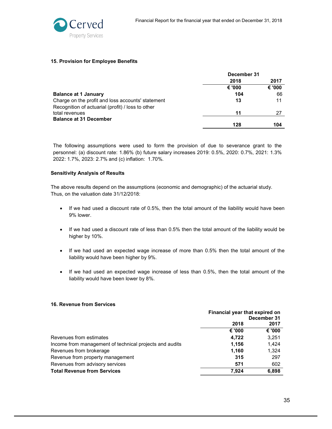

## 15. Provision for Employee Benefits

|                                                   | December 31 |        |
|---------------------------------------------------|-------------|--------|
|                                                   | 2018        | 2017   |
|                                                   | € '000      | € '000 |
| <b>Balance at 1 January</b>                       | 104         | 66     |
| Charge on the profit and loss accounts' statement | 13          | 11     |
| Recognition of actuarial (profit) / loss to other |             |        |
| total revenues                                    | 11          | 27     |
| <b>Balance at 31 December</b>                     |             |        |
|                                                   | 128         | 104    |

The following assumptions were used to form the provision of due to severance grant to the personnel: (a) discount rate: 1.86% (b) future salary increases 2019: 0.5%, 2020: 0.7%, 2021: 1.3% 2022: 1.7%, 2023: 2.7% and (c) inflation: 1.70%.

#### Sensitivity Analysis of Results

The above results depend on the assumptions (economic and demographic) of the actuarial study. Thus, on the valuation date 31/12/2018:

- If we had used a discount rate of 0.5%, then the total amount of the liability would have been 9% lower.
- If we had used a discount rate of less than 0.5% then the total amount of the liability would be higher by 10%.
- If we had used an expected wage increase of more than 0.5% then the total amount of the liability would have been higher by 9%.
- If we had used an expected wage increase of less than 0.5%, then the total amount of the liability would have been lower by 8%.

#### 16. Revenue from Services

|                                                         | Financial year that expired on |         |
|---------------------------------------------------------|--------------------------------|---------|
|                                                         | December 31                    |         |
|                                                         | 2018                           | 2017    |
|                                                         | € '000                         | € '000' |
| Revenues from estimates                                 | 4,722                          | 3,251   |
| Income from management of technical projects and audits | 1,156                          | 1,424   |
| Revenues from brokerage                                 | 1,160                          | 1,324   |
| Revenue from property management                        | 315                            | 297     |
| Revenues from advisory services                         | 571                            | 602     |
| <b>Total Revenue from Services</b>                      | 7.924                          | 6,898   |
|                                                         |                                |         |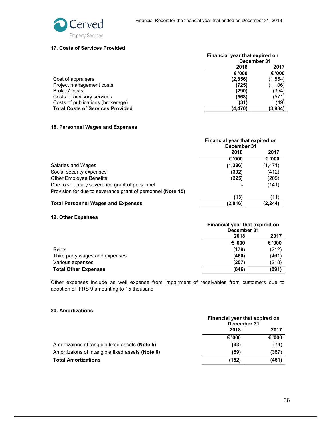

## 17. Costs of Services Provided

|                                         | Financial year that expired on<br>December 31 |          |
|-----------------------------------------|-----------------------------------------------|----------|
|                                         |                                               |          |
|                                         | 2018                                          | 2017     |
|                                         | € '000                                        | € '000   |
| Cost of appraisers                      | (2,856)                                       | (1,854)  |
| Project management costs                | (725)                                         | (1, 106) |
| Brokes' costs                           | (290)                                         | (354)    |
| Costs of advisory services              | (568)                                         | (571)    |
| Costs of publications (brokerage)       | (31)                                          | (49)     |
| <b>Total Costs of Services Provided</b> | (4,470)                                       | (3,934)  |

#### 18. Personnel Wages and Expenses

|                                                             |         | Financial year that expired on<br>December 31 |  |
|-------------------------------------------------------------|---------|-----------------------------------------------|--|
|                                                             | 2018    | 2017                                          |  |
|                                                             | € '000  | € '000                                        |  |
| Salaries and Wages                                          | (1,386) | (1,471)                                       |  |
| Social security expenses                                    | (392)   | (412)                                         |  |
| <b>Other Employee Benefits</b>                              | (225)   | (209)                                         |  |
| Due to voluntary severance grant of personnel               |         | (141)                                         |  |
| Provision for due to severance grant of personnel (Note 15) |         |                                               |  |
|                                                             | (13)    | (11)                                          |  |
| <b>Total Personnel Wages and Expenses</b>                   | (2.016) | (2,244)                                       |  |

#### 19. Other Expenses

|                                | Financial year that expired on<br>December 31 |        |
|--------------------------------|-----------------------------------------------|--------|
|                                | 2018                                          | 2017   |
|                                | € '000                                        | € '000 |
| Rents                          | (179)                                         | (212)  |
| Third party wages and expenses | (460)                                         | (461)  |
| Various expenses               | (207)                                         | (218)  |
| <b>Total Other Expenses</b>    | (846)                                         | (891)  |

Other expenses include as well expense from impairment of receivables from customers due to adoption of IFRS 9 amounting to 15 thousand

#### 20. Amortizations

|                                                  | Financial year that expired on<br>December 31 |        |
|--------------------------------------------------|-----------------------------------------------|--------|
|                                                  | 2018                                          | 2017   |
|                                                  | € '000                                        | € '000 |
| Amortizaions of tangible fixed assets (Note 5)   | (93)                                          | (74)   |
| Amortizaions of intangible fixed assets (Note 6) | (59)                                          | (387)  |
| <b>Total Amortizations</b>                       | (152)                                         | (461)  |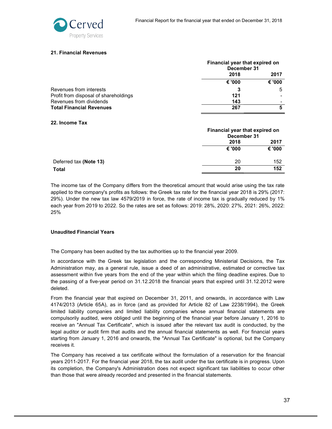

#### 21. Financial Revenues

|                                       | Financial year that expired on<br>December 31 |        |
|---------------------------------------|-----------------------------------------------|--------|
|                                       | 2018                                          | 2017   |
|                                       | € '000                                        | € '000 |
| Revenues from interests               | 3                                             | 5      |
| Profit from disposal of shareholdings | 121                                           |        |
| Revenues from dividends               | 143                                           |        |
| <b>Total Financial Revenues</b>       | 267                                           |        |

#### 22. Income Tax

|                        |        | Financial year that expired on<br>December 31 |  |
|------------------------|--------|-----------------------------------------------|--|
|                        | 2018   | 2017                                          |  |
|                        | € '000 | € '000                                        |  |
| Deferred tax (Note 13) | 20     | 152                                           |  |
| <b>Total</b>           | 20     | 152                                           |  |

The income tax of the Company differs from the theoretical amount that would arise using the tax rate applied to the company's profits as follows: the Greek tax rate for the financial year 2018 is 29% (2017: 29%). Under the new tax law 4579/2019 in force, the rate of income tax is gradually reduced by 1% each year from 2019 to 2022. So the rates are set as follows: 2019: 28%, 2020: 27%, 2021: 26%, 2022: 25%

#### Unaudited Financial Years

The Company has been audited by the tax authorities up to the financial year 2009.

In accordance with the Greek tax legislation and the corresponding Ministerial Decisions, the Tax Administration may, as a general rule, issue a deed of an administrative, estimated or corrective tax assessment within five years from the end of the year within which the filing deadline expires. Due to the passing of a five-year period on 31.12.2018 the financial years that expired until 31.12.2012 were deleted.

From the financial year that expired on December 31, 2011, and onwards, in accordance with Law 4174/2013 (Article 65A), as in force (and as provided for Article 82 of Law 2238/1994), the Greek limited liability companies and limited liability companies whose annual financial statements are compulsorily audited, were obliged until the beginning of the financial year before January 1, 2016 to receive an "Annual Tax Certificate", which is issued after the relevant tax audit is conducted, by the legal auditor or audit firm that audits and the annual financial statements as well. For financial years starting from January 1, 2016 and onwards, the "Annual Tax Certificate" is optional, but the Company receives it.

The Company has received a tax certificate without the formulation of a reservation for the financial years 2011-2017. For the financial year 2018, the tax audit under the tax certificate is in progress. Upon its completion, the Company's Administration does not expect significant tax liabilities to occur other than those that were already recorded and presented in the financial statements.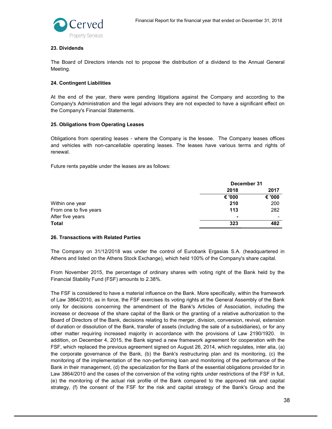

#### 23. Dividends

The Board of Directors intends not to propose the distribution of a dividend to the Annual General Meeting.

#### 24. Contingent Liabilities

At the end of the year, there were pending litigations against the Company and according to the Company's Administration and the legal advisors they are not expected to have a significant effect on the Company's Financial Statements.

#### 25. Obligations from Operating Leases

Obligations from operating leases - where the Company is the lessee. The Company leases offices and vehicles with non-cancellable operating leases. The leases have various terms and rights of renewal.

Future rents payable under the leases are as follows:

|                        |        | December 31 |  |
|------------------------|--------|-------------|--|
|                        | 2018   | 2017        |  |
|                        | € '000 | € '000      |  |
| Within one year        | 210    | 200         |  |
| From one to five years | 113    | 282         |  |
| After five years       | ۰      | $\,$        |  |
| <b>Total</b>           | 323    | 482         |  |

#### 26. Transactions with Related Parties

The Company on 31/12/2018 was under the control of Eurobank Ergasias S.A. (headquartered in Athens and listed on the Athens Stock Exchange), which held 100% of the Company's share capital.

From November 2015, the percentage of ordinary shares with voting right of the Bank held by the Financial Stability Fund (FSF) amounts to 2.38%.

The FSF is considered to have a material influence on the Bank. More specifically, within the framework of Law 3864/2010, as in force, the FSF exercises its voting rights at the General Assembly of the Bank only for decisions concerning the amendment of the Bank's Articles of Association, including the increase or decrease of the share capital of the Bank or the granting of a relative authorization to the Board of Directors of the Bank, decisions relating to the merger, division, conversion, revival, extension of duration or dissolution of the Bank, transfer of assets (including the sale of a subsidiaries), or for any other matter requiring increased majority in accordance with the provisions of Law 2190/1920. In addition, on December 4, 2015, the Bank signed a new framework agreement for cooperation with the FSF, which replaced the previous agreement signed on August 26, 2014, which regulates, inter alia, (a) the corporate governance of the Bank, (b) the Bank's restructuring plan and its monitoring, (c) the monitoring of the implementation of the non-performing loan and monitoring of the performance of the Bank in their management, (d) the specialization for the Bank of the essential obligations provided for in Law 3864/2010 and the cases of the conversion of the voting rights under restrictions of the FSF in full, (e) the monitoring of the actual risk profile of the Bank compared to the approved risk and capital strategy, (f) the consent of the FSF for the risk and capital strategy of the Bank's Group and the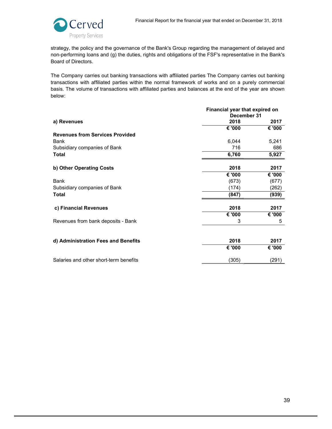

strategy, the policy and the governance of the Bank's Group regarding the management of delayed and non-performing loans and (g) the duties, rights and obligations of the FSF's representative in the Bank's Board of Directors.

The Company carries out banking transactions with affiliated parties The Company carries out banking transactions with affiliated parties within the normal framework of works and on a purely commercial basis. The volume of transactions with affiliated parties and balances at the end of the year are shown below:

|                                        |             | Financial year that expired on |  |
|----------------------------------------|-------------|--------------------------------|--|
| a) Revenues                            | December 31 |                                |  |
|                                        | 2018        | 2017                           |  |
|                                        | € '000      | € '000                         |  |
| <b>Revenues from Services Provided</b> |             |                                |  |
| Bank                                   | 6,044       | 5,241                          |  |
| Subsidiary companies of Bank           | 716         | 686                            |  |
| Total                                  | 6,760       | 5,927                          |  |
| b) Other Operating Costs               | 2018        | 2017                           |  |
|                                        | € '000      | € '000                         |  |
| <b>Bank</b>                            | (673)       | (677)                          |  |
| Subsidiary companies of Bank           | (174)       | (262)                          |  |
| Total                                  | (847)       | (939)                          |  |
| c) Financial Revenues                  | 2018        | 2017                           |  |
|                                        | € '000      | € '000                         |  |
| Revenues from bank deposits - Bank     | 3           | 5                              |  |
|                                        |             |                                |  |
| d) Administration Fees and Benefits    | 2018        | 2017                           |  |
|                                        | € '000      | € '000                         |  |
| Salaries and other short-term benefits | (305)       | (291)                          |  |
|                                        |             |                                |  |